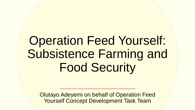## Operation Feed Yourself: Subsistence Farming and Food Security

Olutayo Adeyemi on behalf of Operation Feed Yourself Concept Development Task Team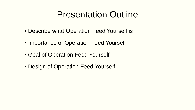### Presentation Outline

- Describe what Operation Feed Yourself is
- Importance of Operation Feed Yourself
- Goal of Operation Feed Yourself
- Design of Operation Feed Yourself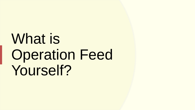## What is Operation Feed Yourself?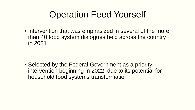### Operation Feed Yourself

• Intervention that was emphasized in several of the more than 40 food system dialogues held across the country in 2021

• Selected by the Federal Government as a priority intervention beginning in 2022, due to its potential for household food systems transformation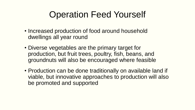## Operation Feed Yourself

- Increased production of food around household dwellings all year round
- Diverse vegetables are the primary target for production, but fruit trees, poultry, fish, beans, and groundnuts will also be encouraged where feasible
- Production can be done traditionally on available land if viable, but innovative approaches to production will also be promoted and supported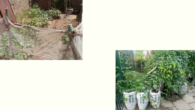

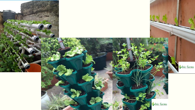

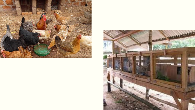

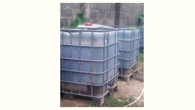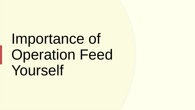## Importance of **Operation Feed** Yourself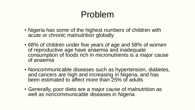### Problem

- Nigeria has some of the highest numbers of children with acute or chronic malnutrition globally
- 68% of children under five years of age and 58% of women of reproductive age have anaemia and inadequate consumption of foods rich in micronutrients is a major cause of anaemia
- Noncommunicable diseases such as hypertension, diabetes, and cancers are high and increasing in Nigeria, and has been estimated to affect more than 25% of adults
- Generally, poor diets are a major cause of malnutrition as well as noncommunicable diseases in Nigeria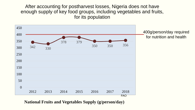After accounting for postharvest losses, Nigeria does not have enough supply of key food groups, including vegetables and fruits, for its population



**National Fruits and Vegetables Supply (g/person/day)**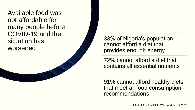Available food was not affordable for many people before COVID-19 and the situation has worsened

33% of Nigeria's population cannot afford a diet that provides enough energy

72% cannot afford a diet that contains all essential nutrients

91% cannot afford healthy diets that meet all food consumption recommendations

FAO, IFAD, UNICEF, WFP and WHO. 2020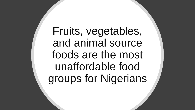Fruits, vegetables, and animal source foods are the most unaffordable food groups for Nigerians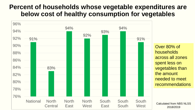#### **Percent of households whose vegetable expenditures are below cost of healthy consumption for vegetables**

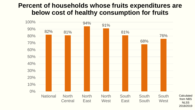#### **Percent of households whose fruits expenditures are below cost of healthy consumption for fruits**



**Calculated** from NBS NLSS 2018/2019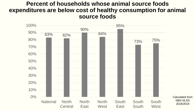#### **Percent of households whose animal source foods expenditures are below cost of healthy consumption for animal source foods**

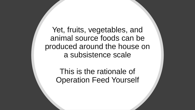Yet, fruits, vegetables, and animal source foods can be produced around the house on a subsistence scale

> This is the rationale of Operation Feed Yourself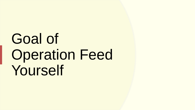## Goal of **Operation Feed** Yourself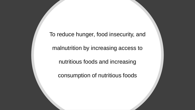To reduce hunger, food insecurity, and

malnutrition by increasing access to

nutritious foods and increasing

consumption of nutritious foods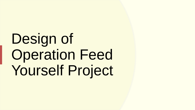# Design of **Operation Feed** Yourself Project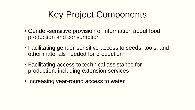## Key Project Components

- Gender-sensitive provision of information about food production and consumption
- Facilitating gender-sensitive access to seeds, tools, and other materials needed for production
- Facilitating access to technical assistance for production, including extension services
- Increasing year-round access to water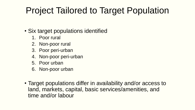## Project Tailored to Target Population

#### • Six target populations identified

- 1. Poor rural
- 2. Non-poor rural
- 3. Poor peri-urban
- 4. Non-poor peri-urban
- 5. Poor urban
- 6. Non-poor urban
- Target populations differ in availability and/or access to land, markets, capital, basic services/amenities, and time and/or labour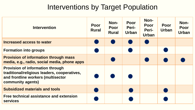#### Interventions by Target Population

| <b>Intervention</b>                                                                                                                                | Poor<br><b>Rural</b> | Non-<br>Poor<br><b>Rural</b> | <b>Poor</b><br>Peri-<br><b>Urban</b> | Non-<br>Poor<br>Peri-<br><b>Urban</b> | Poor<br><b>Urban</b> | Non-<br>Poor<br><b>Urban</b> |
|----------------------------------------------------------------------------------------------------------------------------------------------------|----------------------|------------------------------|--------------------------------------|---------------------------------------|----------------------|------------------------------|
| <b>Increased access to water</b>                                                                                                                   |                      |                              |                                      |                                       |                      |                              |
| <b>Formation into groups</b>                                                                                                                       |                      |                              |                                      |                                       |                      |                              |
| <b>Provision of information through mass</b><br>media, e.g., radio, social media, phone apps                                                       |                      |                              |                                      |                                       |                      |                              |
| <b>Provision of information through</b><br>traditional/religious leaders, cooperatives,<br>and frontline workers (multisector<br>community agents) |                      |                              |                                      |                                       |                      |                              |
| <b>Subsidized materials and tools</b>                                                                                                              |                      |                              |                                      |                                       |                      |                              |
| Free technical assistance and extension<br><b>services</b>                                                                                         |                      |                              |                                      |                                       |                      |                              |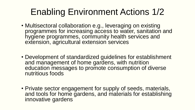## Enabling Environment Actions 1/2

- Multisectoral collaboration e.g., leveraging on existing programmes for increasing access to water, sanitation and hygiene programmes, community health services and extension, agricultural extension services
- Development of standardized guidelines for establishment and management of home gardens, with nutrition education messages to promote consumption of diverse nutritious foods
- Private sector engagement for supply of seeds, materials, and tools for home gardens, and materials for establishing innovative gardens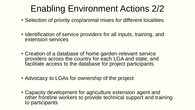### Enabling Environment Actions 2/2

- Selection of priority crop/animal mixes for different localities
- Identification of service providers for all inputs, training, and extension services
- Creation of a database of home garden-relevant service providers across the country for each LGA and state, and facilitate access to the database for project participants
- Advocacy to LGAs for ownership of the project
- Capacity development for agriculture extension agent and other frontline workers to provide technical support and training to participants